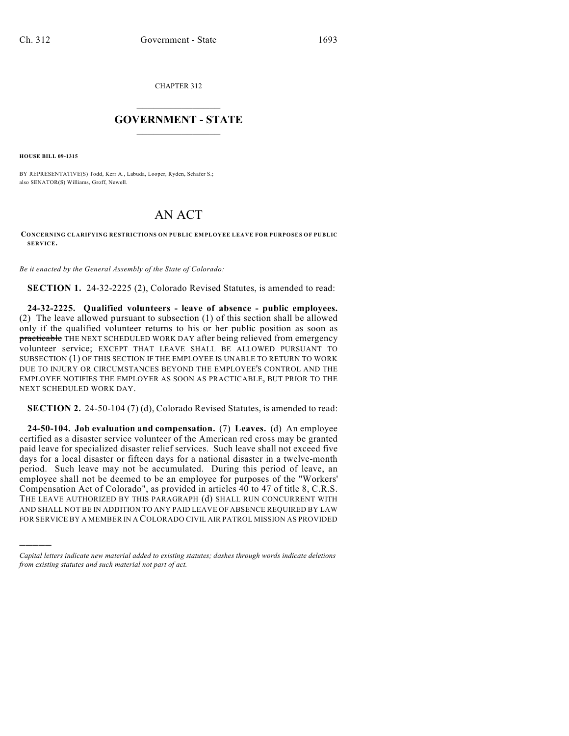CHAPTER 312

## $\mathcal{L}_\text{max}$  . The set of the set of the set of the set of the set of the set of the set of the set of the set of the set of the set of the set of the set of the set of the set of the set of the set of the set of the set **GOVERNMENT - STATE**  $\_$   $\_$   $\_$   $\_$   $\_$   $\_$   $\_$   $\_$   $\_$

**HOUSE BILL 09-1315**

)))))

BY REPRESENTATIVE(S) Todd, Kerr A., Labuda, Looper, Ryden, Schafer S.; also SENATOR(S) Williams, Groff, Newell.

## AN ACT

## **CONCERNING CLARIFYING RESTRICTIONS ON PUBLIC EMPLOYEE LEAVE FOR PURPOSES OF PUBLIC SERVICE.**

*Be it enacted by the General Assembly of the State of Colorado:*

**SECTION 1.** 24-32-2225 (2), Colorado Revised Statutes, is amended to read:

**24-32-2225. Qualified volunteers - leave of absence - public employees.** (2) The leave allowed pursuant to subsection (1) of this section shall be allowed only if the qualified volunteer returns to his or her public position as soon as practicable THE NEXT SCHEDULED WORK DAY after being relieved from emergency volunteer service; EXCEPT THAT LEAVE SHALL BE ALLOWED PURSUANT TO SUBSECTION (1) OF THIS SECTION IF THE EMPLOYEE IS UNABLE TO RETURN TO WORK DUE TO INJURY OR CIRCUMSTANCES BEYOND THE EMPLOYEE'S CONTROL AND THE EMPLOYEE NOTIFIES THE EMPLOYER AS SOON AS PRACTICABLE, BUT PRIOR TO THE NEXT SCHEDULED WORK DAY.

**SECTION 2.** 24-50-104 (7) (d), Colorado Revised Statutes, is amended to read:

**24-50-104. Job evaluation and compensation.** (7) **Leaves.** (d) An employee certified as a disaster service volunteer of the American red cross may be granted paid leave for specialized disaster relief services. Such leave shall not exceed five days for a local disaster or fifteen days for a national disaster in a twelve-month period. Such leave may not be accumulated. During this period of leave, an employee shall not be deemed to be an employee for purposes of the "Workers' Compensation Act of Colorado", as provided in articles 40 to 47 of title 8, C.R.S. THE LEAVE AUTHORIZED BY THIS PARAGRAPH (d) SHALL RUN CONCURRENT WITH AND SHALL NOT BE IN ADDITION TO ANY PAID LEAVE OF ABSENCE REQUIRED BY LAW FOR SERVICE BY A MEMBER IN A COLORADO CIVIL AIR PATROL MISSION AS PROVIDED

*Capital letters indicate new material added to existing statutes; dashes through words indicate deletions from existing statutes and such material not part of act.*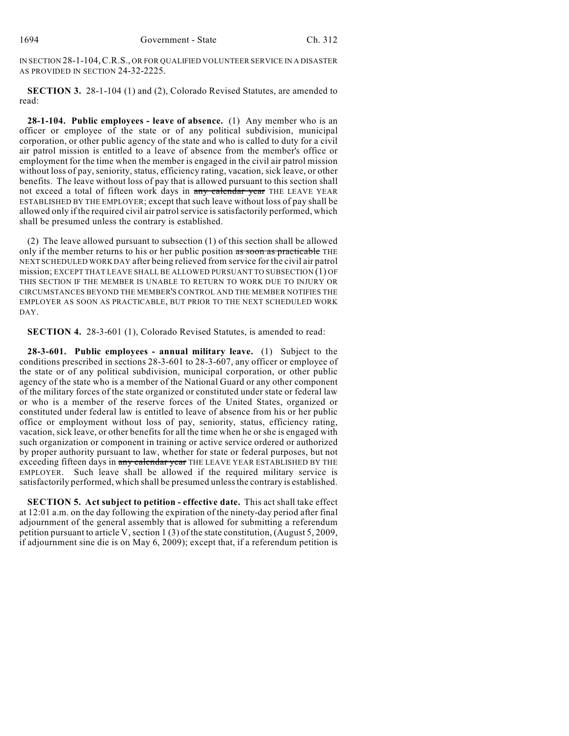IN SECTION 28-1-104,C.R.S., OR FOR QUALIFIED VOLUNTEER SERVICE IN A DISASTER AS PROVIDED IN SECTION 24-32-2225.

**SECTION 3.** 28-1-104 (1) and (2), Colorado Revised Statutes, are amended to read:

**28-1-104. Public employees - leave of absence.** (1) Any member who is an officer or employee of the state or of any political subdivision, municipal corporation, or other public agency of the state and who is called to duty for a civil air patrol mission is entitled to a leave of absence from the member's office or employment for the time when the member is engaged in the civil air patrol mission without loss of pay, seniority, status, efficiency rating, vacation, sick leave, or other benefits. The leave without loss of pay that is allowed pursuant to this section shall not exceed a total of fifteen work days in any calendar year THE LEAVE YEAR ESTABLISHED BY THE EMPLOYER; except that such leave without loss of pay shall be allowed only if the required civil air patrol service is satisfactorily performed, which shall be presumed unless the contrary is established.

(2) The leave allowed pursuant to subsection (1) of this section shall be allowed only if the member returns to his or her public position as soon as practicable THE NEXT SCHEDULED WORK DAY after being relieved from service for the civil air patrol mission; EXCEPT THAT LEAVE SHALL BE ALLOWED PURSUANT TO SUBSECTION (1) OF THIS SECTION IF THE MEMBER IS UNABLE TO RETURN TO WORK DUE TO INJURY OR CIRCUMSTANCES BEYOND THE MEMBER'S CONTROL AND THE MEMBER NOTIFIES THE EMPLOYER AS SOON AS PRACTICABLE, BUT PRIOR TO THE NEXT SCHEDULED WORK DAY.

**SECTION 4.** 28-3-601 (1), Colorado Revised Statutes, is amended to read:

**28-3-601. Public employees - annual military leave.** (1) Subject to the conditions prescribed in sections 28-3-601 to 28-3-607, any officer or employee of the state or of any political subdivision, municipal corporation, or other public agency of the state who is a member of the National Guard or any other component of the military forces of the state organized or constituted under state or federal law or who is a member of the reserve forces of the United States, organized or constituted under federal law is entitled to leave of absence from his or her public office or employment without loss of pay, seniority, status, efficiency rating, vacation, sick leave, or other benefits for all the time when he or she is engaged with such organization or component in training or active service ordered or authorized by proper authority pursuant to law, whether for state or federal purposes, but not exceeding fifteen days in any calendar year THE LEAVE YEAR ESTABLISHED BY THE EMPLOYER. Such leave shall be allowed if the required military service is satisfactorily performed, which shall be presumed unless the contrary is established.

**SECTION 5. Act subject to petition - effective date.** This act shall take effect at 12:01 a.m. on the day following the expiration of the ninety-day period after final adjournment of the general assembly that is allowed for submitting a referendum petition pursuant to article V, section 1 (3) of the state constitution, (August 5, 2009, if adjournment sine die is on May 6, 2009); except that, if a referendum petition is